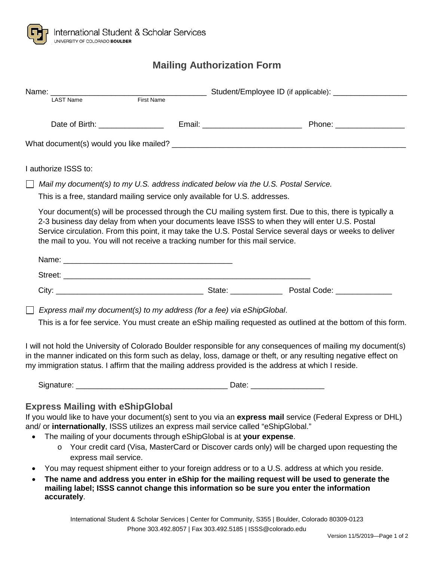**accurately**.

## **Mailing Authorization Form**

|                                                                                                                                                                                                                                                                                                                                        | Name: <u>LAST Name First Name</u> Student/Employee ID (if applicable): LAST Name                                                                                                                                                                                                                                                                                                                                                                      |                                                                                                |  |
|----------------------------------------------------------------------------------------------------------------------------------------------------------------------------------------------------------------------------------------------------------------------------------------------------------------------------------------|-------------------------------------------------------------------------------------------------------------------------------------------------------------------------------------------------------------------------------------------------------------------------------------------------------------------------------------------------------------------------------------------------------------------------------------------------------|------------------------------------------------------------------------------------------------|--|
|                                                                                                                                                                                                                                                                                                                                        |                                                                                                                                                                                                                                                                                                                                                                                                                                                       |                                                                                                |  |
|                                                                                                                                                                                                                                                                                                                                        |                                                                                                                                                                                                                                                                                                                                                                                                                                                       |                                                                                                |  |
|                                                                                                                                                                                                                                                                                                                                        | I authorize ISSS to:                                                                                                                                                                                                                                                                                                                                                                                                                                  |                                                                                                |  |
| Mail my document(s) to my U.S. address indicated below via the U.S. Postal Service.<br>This is a free, standard mailing service only available for U.S. addresses.                                                                                                                                                                     |                                                                                                                                                                                                                                                                                                                                                                                                                                                       |                                                                                                |  |
|                                                                                                                                                                                                                                                                                                                                        | Your document(s) will be processed through the CU mailing system first. Due to this, there is typically a<br>2-3 business day delay from when your documents leave ISSS to when they will enter U.S. Postal<br>Service circulation. From this point, it may take the U.S. Postal Service several days or weeks to deliver<br>the mail to you. You will not receive a tracking number for this mail service.                                           |                                                                                                |  |
|                                                                                                                                                                                                                                                                                                                                        |                                                                                                                                                                                                                                                                                                                                                                                                                                                       |                                                                                                |  |
|                                                                                                                                                                                                                                                                                                                                        |                                                                                                                                                                                                                                                                                                                                                                                                                                                       |                                                                                                |  |
|                                                                                                                                                                                                                                                                                                                                        |                                                                                                                                                                                                                                                                                                                                                                                                                                                       |                                                                                                |  |
| $\Box$ Express mail my document(s) to my address (for a fee) via eShipGlobal.<br>This is a for fee service. You must create an eShip mailing requested as outlined at the bottom of this form.                                                                                                                                         |                                                                                                                                                                                                                                                                                                                                                                                                                                                       |                                                                                                |  |
| I will not hold the University of Colorado Boulder responsible for any consequences of mailing my document(s)<br>in the manner indicated on this form such as delay, loss, damage or theft, or any resulting negative effect on<br>my immigration status. I affirm that the mailing address provided is the address at which I reside. |                                                                                                                                                                                                                                                                                                                                                                                                                                                       |                                                                                                |  |
|                                                                                                                                                                                                                                                                                                                                        |                                                                                                                                                                                                                                                                                                                                                                                                                                                       |                                                                                                |  |
|                                                                                                                                                                                                                                                                                                                                        | <b>Express Mailing with eShipGlobal</b><br>If you would like to have your document(s) sent to you via an express mail service (Federal Express or DHL)<br>and/ or internationally, ISSS utilizes an express mail service called "eShipGlobal."<br>The mailing of your documents through eShipGlobal is at your expense.<br>express mail service.<br>You may request shipment either to your foreign address or to a U.S. address at which you reside. | Your credit card (Visa, MasterCard or Discover cards only) will be charged upon requesting the |  |
| The name and address you enter in eShip for the mailing request will be used to generate the<br>$\bullet$<br>mailing label; ISSS cannot change this information so be sure you enter the information                                                                                                                                   |                                                                                                                                                                                                                                                                                                                                                                                                                                                       |                                                                                                |  |